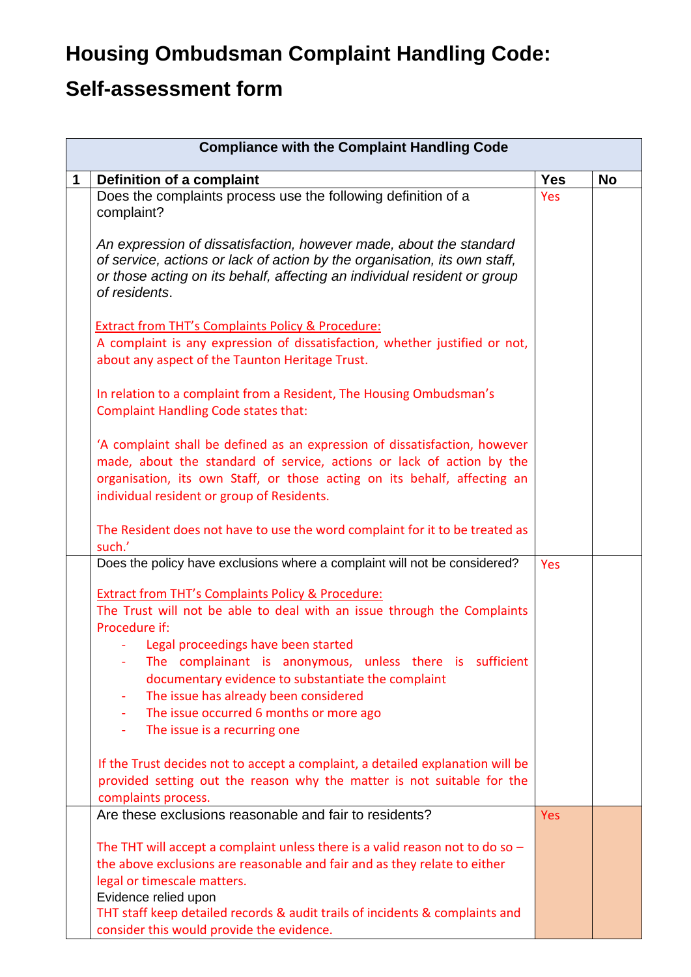## **Housing Ombudsman Complaint Handling Code:**

## **Self-assessment form**

| <b>Compliance with the Complaint Handling Code</b> |                                                                                                                                                                                                                                                                               |            |           |
|----------------------------------------------------|-------------------------------------------------------------------------------------------------------------------------------------------------------------------------------------------------------------------------------------------------------------------------------|------------|-----------|
| 1                                                  | Definition of a complaint                                                                                                                                                                                                                                                     | <b>Yes</b> | <b>No</b> |
|                                                    | Does the complaints process use the following definition of a<br>complaint?                                                                                                                                                                                                   | Yes        |           |
|                                                    | An expression of dissatisfaction, however made, about the standard<br>of service, actions or lack of action by the organisation, its own staff,<br>or those acting on its behalf, affecting an individual resident or group<br>of residents.                                  |            |           |
|                                                    | <b>Extract from THT's Complaints Policy &amp; Procedure:</b><br>A complaint is any expression of dissatisfaction, whether justified or not,<br>about any aspect of the Taunton Heritage Trust.                                                                                |            |           |
|                                                    | In relation to a complaint from a Resident, The Housing Ombudsman's<br><b>Complaint Handling Code states that:</b>                                                                                                                                                            |            |           |
|                                                    | 'A complaint shall be defined as an expression of dissatisfaction, however<br>made, about the standard of service, actions or lack of action by the<br>organisation, its own Staff, or those acting on its behalf, affecting an<br>individual resident or group of Residents. |            |           |
|                                                    | The Resident does not have to use the word complaint for it to be treated as<br>such.'                                                                                                                                                                                        |            |           |
|                                                    | Does the policy have exclusions where a complaint will not be considered?                                                                                                                                                                                                     | Yes        |           |
|                                                    | <b>Extract from THT's Complaints Policy &amp; Procedure:</b>                                                                                                                                                                                                                  |            |           |
|                                                    | The Trust will not be able to deal with an issue through the Complaints<br>Procedure if:                                                                                                                                                                                      |            |           |
|                                                    | Legal proceedings have been started                                                                                                                                                                                                                                           |            |           |
|                                                    | The complainant is anonymous, unless there is sufficient<br>documentary evidence to substantiate the complaint<br>The issue has already been considered<br>۰<br>The issue occurred 6 months or more ago<br>$\blacksquare$<br>The issue is a recurring one<br>٠                |            |           |
|                                                    | If the Trust decides not to accept a complaint, a detailed explanation will be<br>provided setting out the reason why the matter is not suitable for the<br>complaints process.                                                                                               |            |           |
|                                                    | Are these exclusions reasonable and fair to residents?                                                                                                                                                                                                                        | <b>Yes</b> |           |
|                                                    | The THT will accept a complaint unless there is a valid reason not to do so $-$<br>the above exclusions are reasonable and fair and as they relate to either<br>legal or timescale matters.<br>Evidence relied upon                                                           |            |           |
|                                                    | THT staff keep detailed records & audit trails of incidents & complaints and<br>consider this would provide the evidence.                                                                                                                                                     |            |           |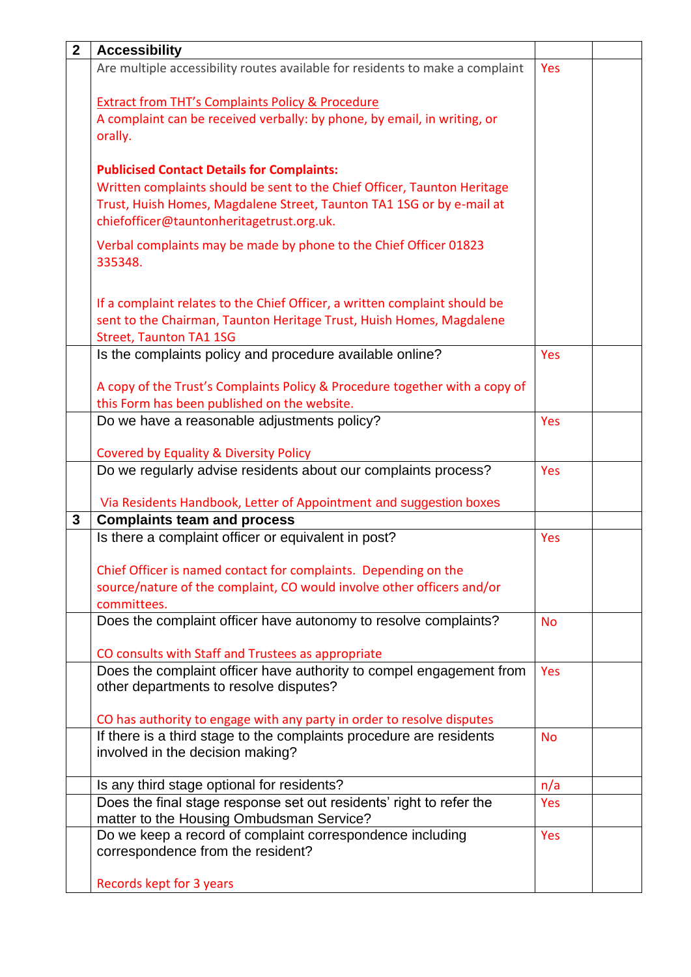| $\mathbf{2}$ | <b>Accessibility</b>                                                          |            |  |
|--------------|-------------------------------------------------------------------------------|------------|--|
|              | Are multiple accessibility routes available for residents to make a complaint | Yes        |  |
|              |                                                                               |            |  |
|              | <b>Extract from THT's Complaints Policy &amp; Procedure</b>                   |            |  |
|              | A complaint can be received verbally: by phone, by email, in writing, or      |            |  |
|              | orally.                                                                       |            |  |
|              |                                                                               |            |  |
|              | <b>Publicised Contact Details for Complaints:</b>                             |            |  |
|              | Written complaints should be sent to the Chief Officer, Taunton Heritage      |            |  |
|              | Trust, Huish Homes, Magdalene Street, Taunton TA1 1SG or by e-mail at         |            |  |
|              | chiefofficer@tauntonheritagetrust.org.uk.                                     |            |  |
|              | Verbal complaints may be made by phone to the Chief Officer 01823             |            |  |
|              | 335348.                                                                       |            |  |
|              |                                                                               |            |  |
|              |                                                                               |            |  |
|              | If a complaint relates to the Chief Officer, a written complaint should be    |            |  |
|              | sent to the Chairman, Taunton Heritage Trust, Huish Homes, Magdalene          |            |  |
|              | <b>Street, Taunton TA1 1SG</b>                                                |            |  |
|              | Is the complaints policy and procedure available online?                      | Yes        |  |
|              | A copy of the Trust's Complaints Policy & Procedure together with a copy of   |            |  |
|              | this Form has been published on the website.                                  |            |  |
|              | Do we have a reasonable adjustments policy?                                   | Yes        |  |
|              |                                                                               |            |  |
|              | <b>Covered by Equality &amp; Diversity Policy</b>                             |            |  |
|              | Do we regularly advise residents about our complaints process?                | Yes        |  |
|              |                                                                               |            |  |
|              | Via Residents Handbook, Letter of Appointment and suggestion boxes            |            |  |
| $\mathbf{3}$ | <b>Complaints team and process</b>                                            |            |  |
|              | Is there a complaint officer or equivalent in post?                           | Yes        |  |
|              |                                                                               |            |  |
|              | Chief Officer is named contact for complaints. Depending on the               |            |  |
|              | source/nature of the complaint, CO would involve other officers and/or        |            |  |
|              | committees.                                                                   |            |  |
|              | Does the complaint officer have autonomy to resolve complaints?               | <b>No</b>  |  |
|              | CO consults with Staff and Trustees as appropriate                            |            |  |
|              | Does the complaint officer have authority to compel engagement from           | Yes        |  |
|              | other departments to resolve disputes?                                        |            |  |
|              |                                                                               |            |  |
|              | CO has authority to engage with any party in order to resolve disputes        |            |  |
|              | If there is a third stage to the complaints procedure are residents           | <b>No</b>  |  |
|              | involved in the decision making?                                              |            |  |
|              |                                                                               |            |  |
|              | Is any third stage optional for residents?                                    | n/a        |  |
|              | Does the final stage response set out residents' right to refer the           | <b>Yes</b> |  |
|              | matter to the Housing Ombudsman Service?                                      |            |  |
|              | Do we keep a record of complaint correspondence including                     | Yes        |  |
|              | correspondence from the resident?                                             |            |  |
|              | Records kept for 3 years                                                      |            |  |
|              |                                                                               |            |  |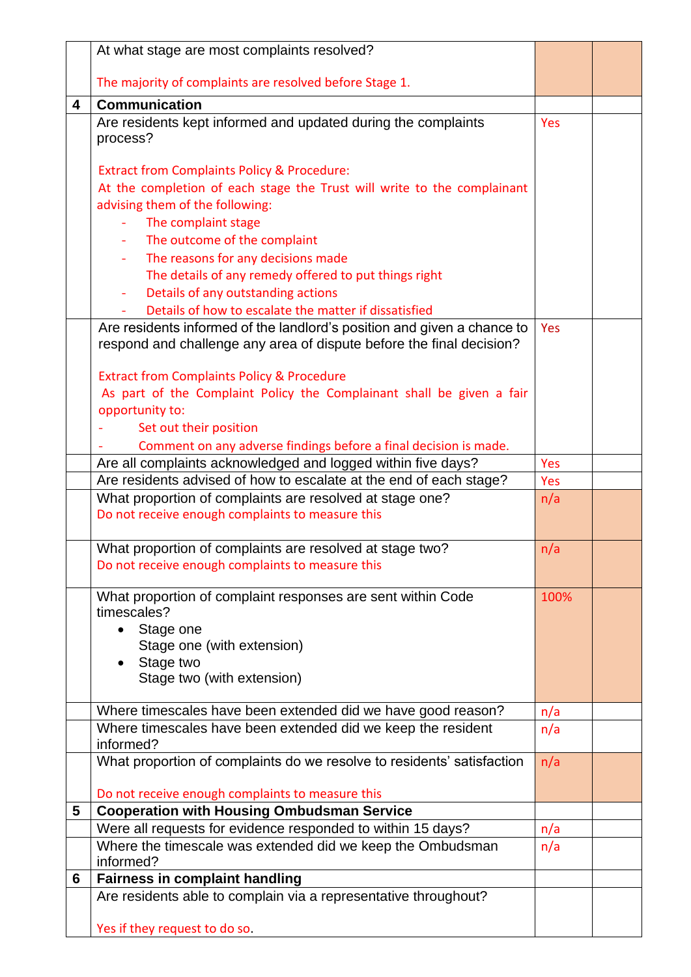|   | At what stage are most complaints resolved?                                                                  |      |  |
|---|--------------------------------------------------------------------------------------------------------------|------|--|
|   | The majority of complaints are resolved before Stage 1.                                                      |      |  |
|   |                                                                                                              |      |  |
| 4 | <b>Communication</b>                                                                                         |      |  |
|   | Are residents kept informed and updated during the complaints                                                | Yes  |  |
|   | process?                                                                                                     |      |  |
|   | <b>Extract from Complaints Policy &amp; Procedure:</b>                                                       |      |  |
|   | At the completion of each stage the Trust will write to the complainant                                      |      |  |
|   | advising them of the following:                                                                              |      |  |
|   | The complaint stage<br>Ξ                                                                                     |      |  |
|   | The outcome of the complaint                                                                                 |      |  |
|   | The reasons for any decisions made                                                                           |      |  |
|   | The details of any remedy offered to put things right                                                        |      |  |
|   | Details of any outstanding actions<br>$\blacksquare$                                                         |      |  |
|   | Details of how to escalate the matter if dissatisfied                                                        |      |  |
|   | Are residents informed of the landlord's position and given a chance to                                      | Yes  |  |
|   | respond and challenge any area of dispute before the final decision?                                         |      |  |
|   |                                                                                                              |      |  |
|   | <b>Extract from Complaints Policy &amp; Procedure</b>                                                        |      |  |
|   | As part of the Complaint Policy the Complainant shall be given a fair                                        |      |  |
|   | opportunity to:                                                                                              |      |  |
|   | Set out their position                                                                                       |      |  |
|   | Comment on any adverse findings before a final decision is made.                                             |      |  |
|   | Are all complaints acknowledged and logged within five days?                                                 | Yes  |  |
|   | Are residents advised of how to escalate at the end of each stage?                                           | Yes  |  |
|   | What proportion of complaints are resolved at stage one?                                                     | n/a  |  |
|   | Do not receive enough complaints to measure this                                                             |      |  |
|   |                                                                                                              |      |  |
|   |                                                                                                              |      |  |
|   | What proportion of complaints are resolved at stage two?<br>Do not receive enough complaints to measure this | n/a  |  |
|   |                                                                                                              |      |  |
|   | What proportion of complaint responses are sent within Code                                                  | 100% |  |
|   | timescales?                                                                                                  |      |  |
|   | Stage one<br>$\bullet$                                                                                       |      |  |
|   | Stage one (with extension)                                                                                   |      |  |
|   | Stage two<br>$\bullet$                                                                                       |      |  |
|   | Stage two (with extension)                                                                                   |      |  |
|   |                                                                                                              |      |  |
|   | Where timescales have been extended did we have good reason?                                                 | n/a  |  |
|   | Where timescales have been extended did we keep the resident<br>informed?                                    | n/a  |  |
|   | What proportion of complaints do we resolve to residents' satisfaction                                       | n/a  |  |
|   |                                                                                                              |      |  |
|   | Do not receive enough complaints to measure this                                                             |      |  |
| 5 | <b>Cooperation with Housing Ombudsman Service</b>                                                            |      |  |
|   | Were all requests for evidence responded to within 15 days?                                                  | n/a  |  |
|   | Where the timescale was extended did we keep the Ombudsman<br>informed?                                      | n/a  |  |
| 6 |                                                                                                              |      |  |
|   | <b>Fairness in complaint handling</b><br>Are residents able to complain via a representative throughout?     |      |  |
|   | Yes if they request to do so.                                                                                |      |  |